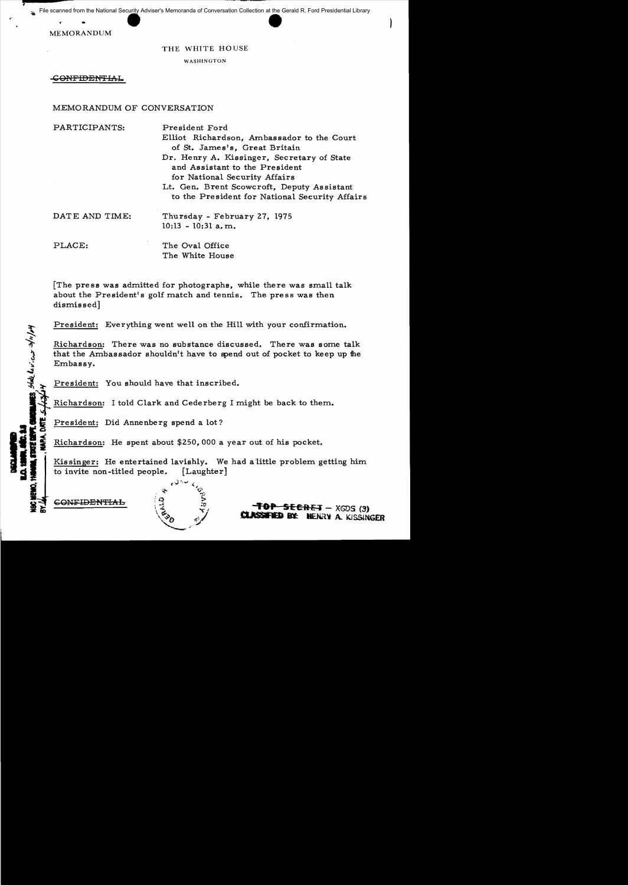File scanned from the National Security Adviser's Memoranda of Conversation Collection at the Gerald R. Ford Presidential Library

MEMORANDUM

 $\mathbf{r}$ 

the state levices stript

'

"

### THE WHITE HOUSE

WASHINGTON

CONFIDENTIAL

## MEMORANDUM OF CONVERSATION

| PARTICIPANTS:  | President Ford<br>Elliot Richardson, Ambassador to the Court<br>of St. James's, Great Britain<br>Dr. Henry A. Kissinger, Secretary of State<br>and Assistant to the President |
|----------------|-------------------------------------------------------------------------------------------------------------------------------------------------------------------------------|
|                | for National Security Affairs<br>Lt. Gen. Brent Scowcroft, Deputy Assistant<br>to the President for National Security Affairs                                                 |
| DATE AND TIME: | Thursday - February 27, 1975<br>$10:13 - 10:31$ a.m.                                                                                                                          |
| PLACE:         | The Oval Office<br>The White House                                                                                                                                            |

[The press was admitted for photographs, while there was small talk about the President's golf match and tennis. The press was then dismissed]

President: Everything went well on the Hill with your confirmation.

Richardson: There was no substance discussed. There was some talk that the Ambassador shouldn't have to spend out of pocket to keep up the Embassy.

President: You should have that inscribed.<br>Richardson: I told Clark and Cederberg I might be back to them.

Richardson: I told Clark and Cederberg I might be back to the<br> **President:** Did Annenberg spend a lot?<br> **Example 3**<br>
Richardson: He spent about \$250,000 a year out of his pocket.<br> **Example:** Example 1 Rissinger: He enterta Kissinger: He entertained lavishly. We had a little problem getting him to invite non-titled people.  $\left[$  Laughter $\right]$ 





**SECRET - XGDS (3)**  $\overline{45}$ **BY: HENRY A. KISSINGER**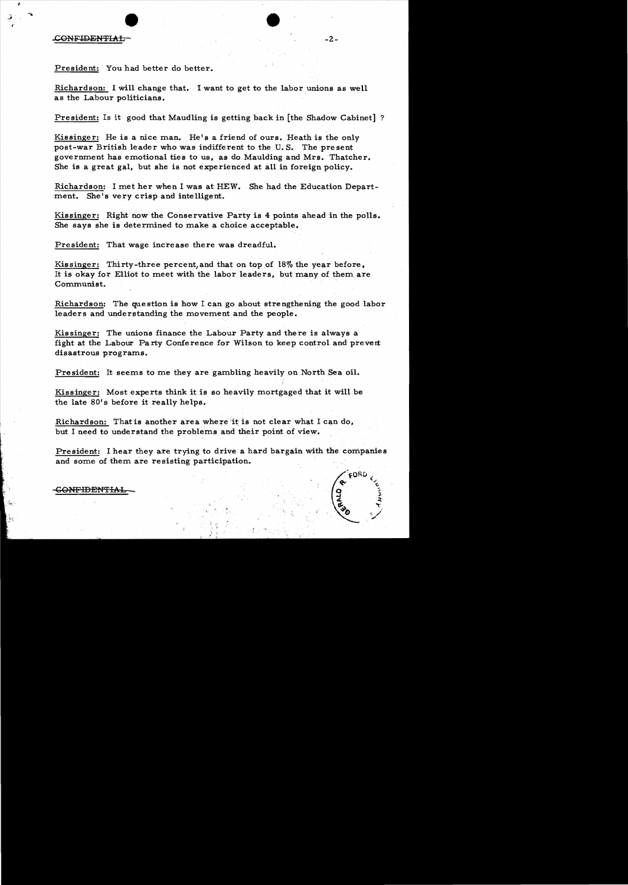#### .cONFIDEN'FIAb -2

I·

President: You had better do better.

Richardson: I will change that. I want to get to the labor unions as well as the Labour politicians.

President: Is it good that Maudling is getting back in [the Shadow Cabinet] ?

Kissinger: He is a nice man. He's a friend of ours. Heath is the only post-war British leader who was indifferent to the U. S. The present government has emotional ties to us, as do Maulding and Mrs. Thatcher. She is a great gal, but she is not experienced at all in foreign policy.

Richardson: I met her when I was at HEW. She had the Education Department. She's very crisp and intelligent.

Kissinger: Right now the Conservative Party is 4 points ahead in the polls. She says she is determined to make a choice acceptable.

President: That wage increase there was dreadful.

Kissinger: Thirty-three percent, and that on top of 18% the year before. It is okay for Elliot to meet with the labor leaders, but many of them are Communist.

Richardson: The question is how I can go about strengthening the good labor leaders and understanding the movement and the people.

Kissinger: The unions finance the Labour Party and there is always a fight at the Labour Party Conference for Wilson to keep control and prevert disastrous programs.

President: It seems to me they are gambling heavily on North Sea oil.

Kissinger: Most experts think it is so heavily mortgaged that it will be the late 80's before it really helps.

Richardson: That is another area where 'it is not clear what I can do, but I need to understand the problems and their point of view.

President: I hear they are trying to drive a hard bargain with the companies and some of them are resisting participation.



<del>ONFIDENTIAL</del>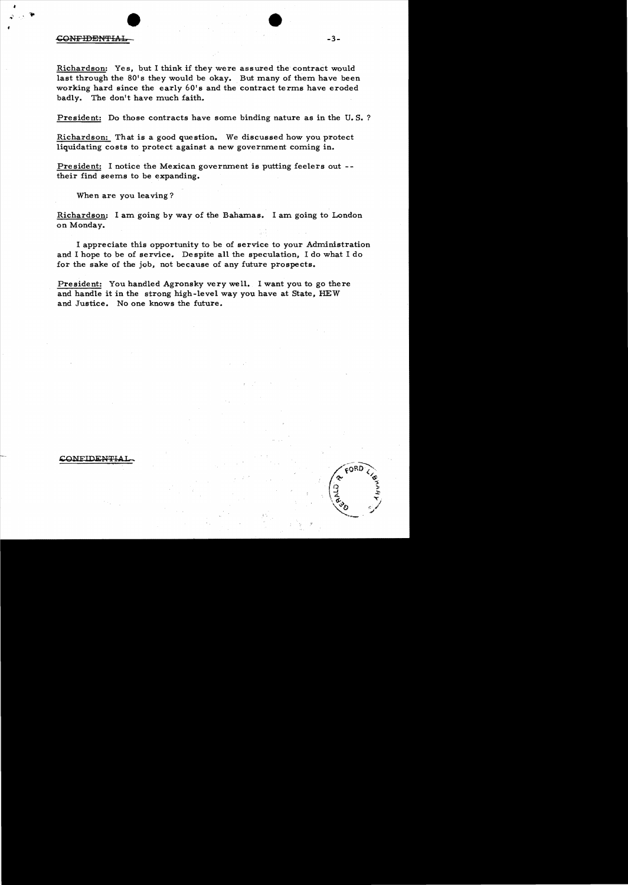# CONFIDENTIA  $\bullet$

Richardson: Yes. but I think if they were assured the contract would last through the  $80'$ s they would be okay. But many of them have been working hard since the early  $60'$  s and the contract terms have eroded badly. The don't have much faith.

President: Do those contracts have some binding nature as in the U.S.?

Richardson: That is a good question. We discussed how you protect liquidating costs to protect against a new government coming in.

President: I notice the Mexican government is putting feelers out  $-$ their find seems to be expanding.

When are you leaving?

Richardson: I am going by way of the Bahamas. I am going to London on Monday.

I appreciate this opportunity to be of service to your Administration and I hope to be of service. Despite all the speculation, I do what I do for the sake of the job, not because of any future prospects.

President: You handled Agronsky very well. I want you to go there and handle it in the strong high-level way you have at State, HEW and Justice. No one knows the future.

#### ONFIDENTI

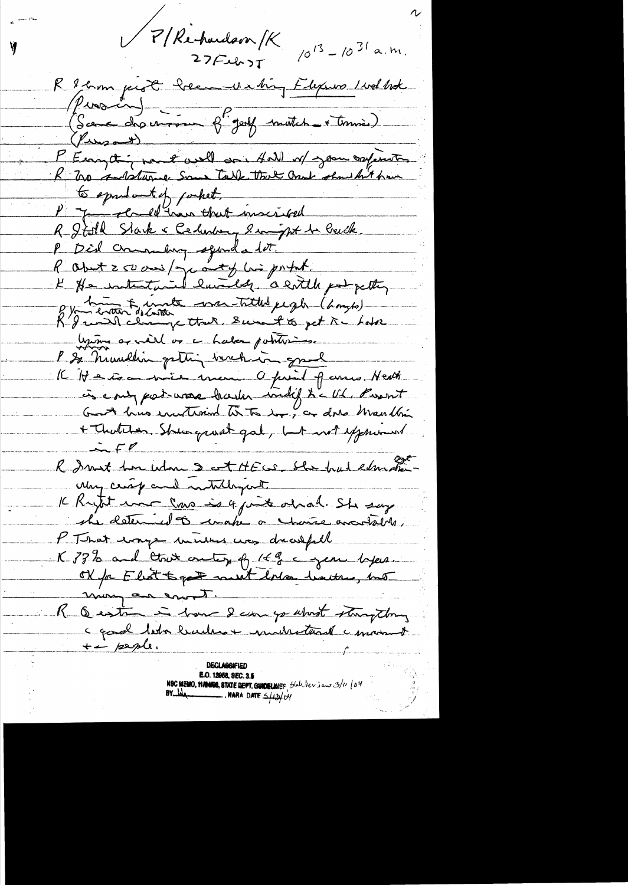P/Rechardson SK  $27Fub5T$ 

Y

 $10^{13} - 10^{31}$  a.m.

R & comprot heem we high Flexions I wal like Piontin)<br>(Scene des environnes francs de mettet et termine) P Eury trip par 2 avril dans 4 all n/2 pour confirmetter to sprudent of porket. P - James Plane that inscribed R Jisth Stark & Cedenbury Singht to builk. P Did communitive squada lat. R about 250 ans/ yearty his portal. K He intentanted landed a sortelle portpetty 8 y huite van Titled pegh (hough) Union as well or a haber potations. P & numbers getting inchina grad K Hatson mie men a print parro. Heath in court part was haden indif to cut , Puent + Thatcher. She growt gat, but not expressed R Smit hor who set HECS She had education May certificand instituyant It Krynt ma sono is 4 junit obrah. She say she determed to unake a chance anotal M. P That every menters was drawfull K 33% and that only of 14 egen lyen. of for Elect to get meet loler hatter, but mong an enot. R Q està in have 2 can go what stamptong a good lator buildes + moderational i morrist  $\leftarrow$  people.

**E.O. 12958, SEC. 3.6** NBC MEMO, **HAMOR, STATE DEPT. GUIDELINES** State New jew 3/11 | 04<br>BY  $\frac{1}{2}$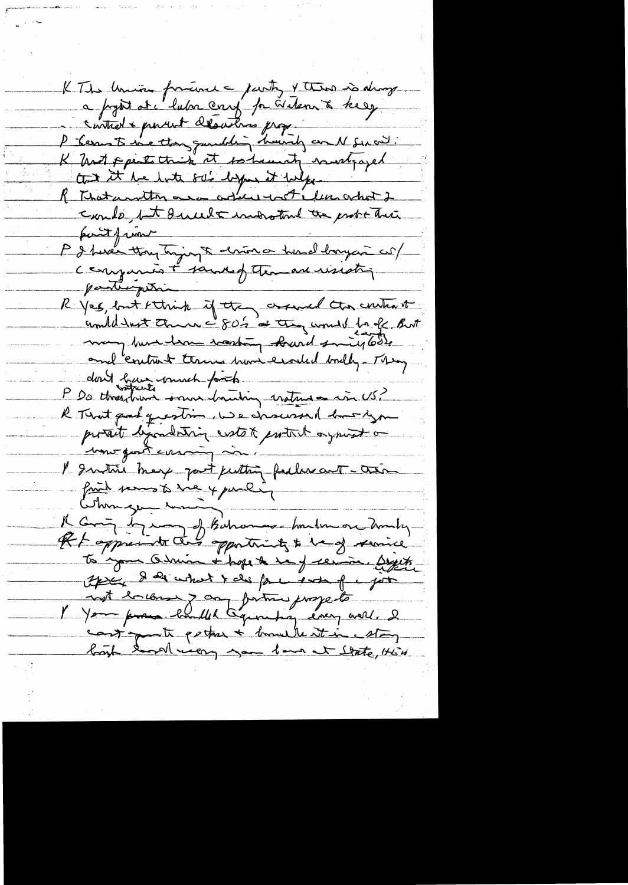KThe Union fracture - purty & there is always a prost at lubre cent par videns à tre esp control & parent desations prof. P - Cerrant since then guarditing houring an N Surviv. K hast points this it so haven't notice of that it he hate solid by it helpe. R That united are adult with limated could, tell and other probability partfinent P & here thay trying to drive a here larger col comparis + sandof teman usesti participation R yes, but think if they around the content united with the way of or the world for off But may but her rasting burd smitgleds dont bain unnet fonts R Territ question, we descend but you portait dépondation extet protect ayant comment I southis may good putting feelers and - there fait semes to sue y paulin A Coming by my of Bahamoo hundred on howby to your Odmin + hope & say service. Bythe Après de court t des fact sont part not balon y campione jusqu'its cont parties + bould at in Mon bough the meeting you have at thate, this